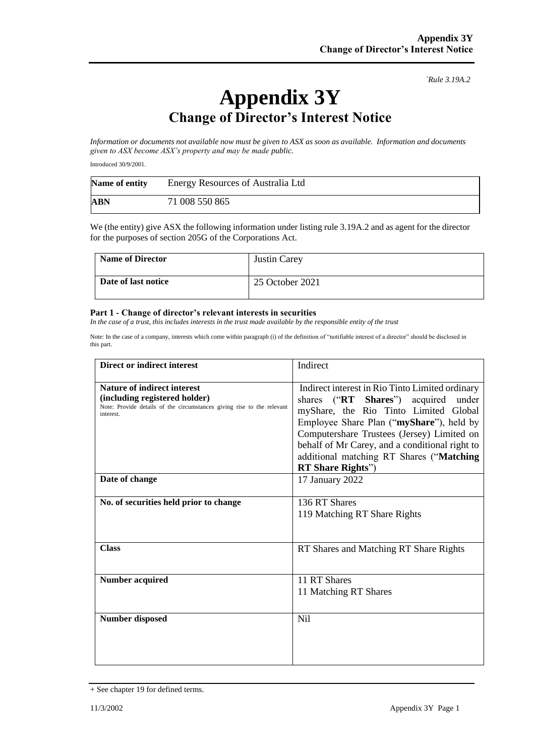*`Rule 3.19A.2*

## **Appendix 3Y Change of Director's Interest Notice**

*Information or documents not available now must be given to ASX as soon as available. Information and documents given to ASX become ASX's property and may be made public.*

Introduced 30/9/2001.

| Name of entity | Energy Resources of Australia Ltd |
|----------------|-----------------------------------|
| ABN            | 71 008 550 865                    |

We (the entity) give ASX the following information under listing rule 3.19A.2 and as agent for the director for the purposes of section 205G of the Corporations Act.

| <b>Name of Director</b> | <b>Justin Carey</b> |
|-------------------------|---------------------|
| Date of last notice     | 25 October 2021     |

## **Part 1 - Change of director's relevant interests in securities**

*In the case of a trust, this includes interests in the trust made available by the responsible entity of the trust* 

Note: In the case of a company, interests which come within paragraph (i) of the definition of "notifiable interest of a director" should be disclosed in this part.

| <b>Direct or indirect interest</b>                                                                                                                  | Indirect                                                                                                                                                                                                                                                                                                                                            |
|-----------------------------------------------------------------------------------------------------------------------------------------------------|-----------------------------------------------------------------------------------------------------------------------------------------------------------------------------------------------------------------------------------------------------------------------------------------------------------------------------------------------------|
| Nature of indirect interest<br>(including registered holder)<br>Note: Provide details of the circumstances giving rise to the relevant<br>interest. | Indirect interest in Rio Tinto Limited ordinary<br>shares ("RT Shares") acquired under<br>myShare, the Rio Tinto Limited Global<br>Employee Share Plan ("myShare"), held by<br>Computershare Trustees (Jersey) Limited on<br>behalf of Mr Carey, and a conditional right to<br>additional matching RT Shares ("Matching<br><b>RT</b> Share Rights") |
| Date of change                                                                                                                                      | 17 January 2022                                                                                                                                                                                                                                                                                                                                     |
| No. of securities held prior to change                                                                                                              | 136 RT Shares<br>119 Matching RT Share Rights                                                                                                                                                                                                                                                                                                       |
| <b>Class</b>                                                                                                                                        | RT Shares and Matching RT Share Rights                                                                                                                                                                                                                                                                                                              |
| <b>Number acquired</b>                                                                                                                              | 11 RT Shares<br>11 Matching RT Shares                                                                                                                                                                                                                                                                                                               |
| <b>Number disposed</b>                                                                                                                              | <b>Nil</b>                                                                                                                                                                                                                                                                                                                                          |

<sup>+</sup> See chapter 19 for defined terms.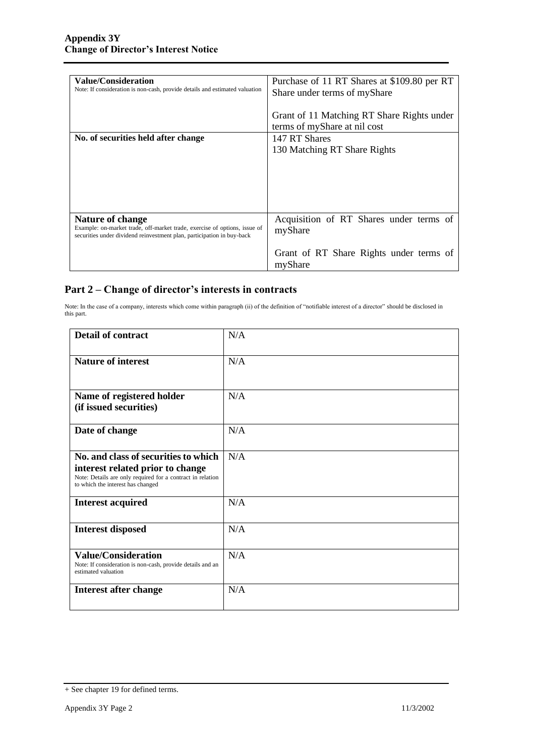| <b>Value/Consideration</b><br>Note: If consideration is non-cash, provide details and estimated valuation                                                               | Purchase of 11 RT Shares at \$109.80 per RT<br>Share under terms of myShare<br>Grant of 11 Matching RT Share Rights under<br>terms of myShare at nil cost |
|-------------------------------------------------------------------------------------------------------------------------------------------------------------------------|-----------------------------------------------------------------------------------------------------------------------------------------------------------|
| No. of securities held after change                                                                                                                                     | 147 RT Shares<br>130 Matching RT Share Rights                                                                                                             |
| Nature of change<br>Example: on-market trade, off-market trade, exercise of options, issue of<br>securities under dividend reinvestment plan, participation in buy-back | Acquisition of RT Shares under terms of<br>myShare<br>Grant of RT Share Rights under terms of<br>myShare                                                  |

## **Part 2 – Change of director's interests in contracts**

Note: In the case of a company, interests which come within paragraph (ii) of the definition of "notifiable interest of a director" should be disclosed in this part.

| <b>Detail of contract</b>                                                                                                                                                   | N/A |
|-----------------------------------------------------------------------------------------------------------------------------------------------------------------------------|-----|
| <b>Nature of interest</b>                                                                                                                                                   | N/A |
| Name of registered holder<br>(if issued securities)                                                                                                                         | N/A |
| Date of change                                                                                                                                                              | N/A |
| No. and class of securities to which<br>interest related prior to change<br>Note: Details are only required for a contract in relation<br>to which the interest has changed | N/A |
| <b>Interest acquired</b>                                                                                                                                                    | N/A |
| <b>Interest disposed</b>                                                                                                                                                    | N/A |
| <b>Value/Consideration</b><br>Note: If consideration is non-cash, provide details and an<br>estimated valuation                                                             | N/A |
| <b>Interest after change</b>                                                                                                                                                | N/A |

<sup>+</sup> See chapter 19 for defined terms.